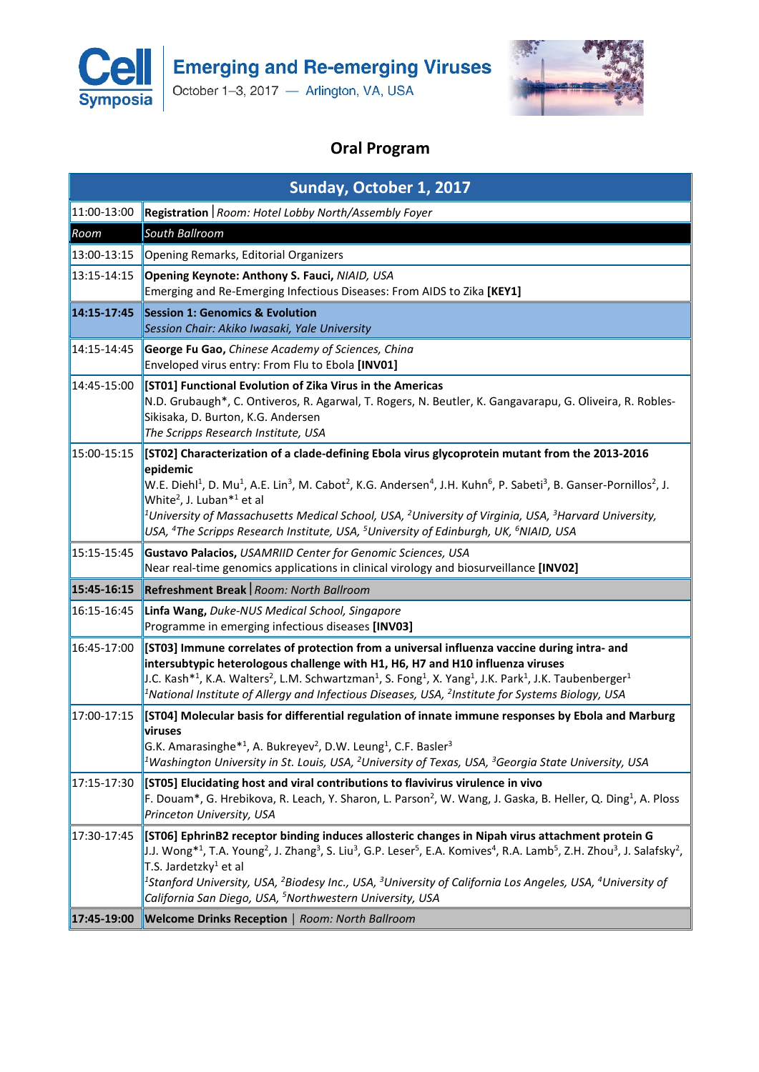

**Emerging and Re-emerging Viruses** 

October 1-3, 2017 - Arlington, VA, USA



## **Oral Program**

| Sunday, October 1, 2017 |                                                                                                                                                                                                                                                                                                                                                                                                                                                                                                                                                                                                                                        |  |
|-------------------------|----------------------------------------------------------------------------------------------------------------------------------------------------------------------------------------------------------------------------------------------------------------------------------------------------------------------------------------------------------------------------------------------------------------------------------------------------------------------------------------------------------------------------------------------------------------------------------------------------------------------------------------|--|
| 11:00-13:00             | Registration   Room: Hotel Lobby North/Assembly Foyer                                                                                                                                                                                                                                                                                                                                                                                                                                                                                                                                                                                  |  |
| Room                    | South Ballroom                                                                                                                                                                                                                                                                                                                                                                                                                                                                                                                                                                                                                         |  |
| 13:00-13:15             | Opening Remarks, Editorial Organizers                                                                                                                                                                                                                                                                                                                                                                                                                                                                                                                                                                                                  |  |
| 13:15-14:15             | Opening Keynote: Anthony S. Fauci, NIAID, USA<br>Emerging and Re-Emerging Infectious Diseases: From AIDS to Zika [KEY1]                                                                                                                                                                                                                                                                                                                                                                                                                                                                                                                |  |
| 14:15-17:45             | <b>Session 1: Genomics &amp; Evolution</b><br>Session Chair: Akiko Iwasaki, Yale University                                                                                                                                                                                                                                                                                                                                                                                                                                                                                                                                            |  |
| 14:15-14:45             | George Fu Gao, Chinese Academy of Sciences, China<br>Enveloped virus entry: From Flu to Ebola [INV01]                                                                                                                                                                                                                                                                                                                                                                                                                                                                                                                                  |  |
| 14:45-15:00             | [ST01] Functional Evolution of Zika Virus in the Americas<br>N.D. Grubaugh*, C. Ontiveros, R. Agarwal, T. Rogers, N. Beutler, K. Gangavarapu, G. Oliveira, R. Robles-<br>Sikisaka, D. Burton, K.G. Andersen<br>The Scripps Research Institute, USA                                                                                                                                                                                                                                                                                                                                                                                     |  |
| 15:00-15:15             | [ST02] Characterization of a clade-defining Ebola virus glycoprotein mutant from the 2013-2016<br>epidemic<br>W.E. Diehl <sup>1</sup> , D. Mu <sup>1</sup> , A.E. Lin <sup>3</sup> , M. Cabot <sup>2</sup> , K.G. Andersen <sup>4</sup> , J.H. Kuhn <sup>6</sup> , P. Sabeti <sup>3</sup> , B. Ganser-Pornillos <sup>2</sup> , J.<br>White <sup>2</sup> , J. Luban <sup>*1</sup> et al<br>$^1$ University of Massachusetts Medical School, USA, $^2$ University of Virginia, USA, $^3$ Harvard University,<br>USA, <sup>4</sup> The Scripps Research Institute, USA, <sup>5</sup> University of Edinburgh, UK, <sup>6</sup> NIAID, USA |  |
| 15:15-15:45             | Gustavo Palacios, USAMRIID Center for Genomic Sciences, USA<br>Near real-time genomics applications in clinical virology and biosurveillance [INVO2]                                                                                                                                                                                                                                                                                                                                                                                                                                                                                   |  |
| 15:45-16:15             | Refreshment Break   Room: North Ballroom                                                                                                                                                                                                                                                                                                                                                                                                                                                                                                                                                                                               |  |
| 16:15-16:45             | Linfa Wang, Duke-NUS Medical School, Singapore<br>Programme in emerging infectious diseases [INV03]                                                                                                                                                                                                                                                                                                                                                                                                                                                                                                                                    |  |
| 16:45-17:00             | [ST03] Immune correlates of protection from a universal influenza vaccine during intra- and<br>intersubtypic heterologous challenge with H1, H6, H7 and H10 influenza viruses<br>J.C. Kash* <sup>1</sup> , K.A. Walters <sup>2</sup> , L.M. Schwartzman <sup>1</sup> , S. Fong <sup>1</sup> , X. Yang <sup>1</sup> , J.K. Park <sup>1</sup> , J.K. Taubenberger <sup>1</sup><br><sup>1</sup> National Institute of Allergy and Infectious Diseases, USA, <sup>2</sup> Institute for Systems Biology, USA                                                                                                                               |  |
| 17:00-17:15             | [ST04] Molecular basis for differential regulation of innate immune responses by Ebola and Marburg<br>viruses<br>G.K. Amarasinghe <sup>*1</sup> , A. Bukreyev <sup>2</sup> , D.W. Leung <sup>1</sup> , C.F. Basler <sup>3</sup><br><sup>1</sup> Washington University in St. Louis, USA, <sup>2</sup> University of Texas, USA, <sup>3</sup> Georgia State University, USA                                                                                                                                                                                                                                                             |  |
| 17:15-17:30             | [[ST05] Elucidating host and viral contributions to flavivirus virulence in vivo<br>F. Douam*, G. Hrebikova, R. Leach, Y. Sharon, L. Parson <sup>2</sup> , W. Wang, J. Gaska, B. Heller, Q. Ding <sup>1</sup> , A. Ploss<br>Princeton University, USA                                                                                                                                                                                                                                                                                                                                                                                  |  |
| 17:30-17:45             | [ST06] EphrinB2 receptor binding induces allosteric changes in Nipah virus attachment protein G<br>$\parallel$ J.J. Wong*1, T.A. Young <sup>2</sup> , J. Zhang <sup>3</sup> , S. Liu <sup>3</sup> , G.P. Leser <sup>5</sup> , E.A. Komives <sup>4</sup> , R.A. Lamb <sup>5</sup> , Z.H. Zhou <sup>3</sup> , J. Salafsky <sup>2</sup> ,<br>T.S. Jardetzky <sup>1</sup> et al<br><sup>1</sup> Stanford University, USA, <sup>2</sup> Biodesy Inc., USA, <sup>3</sup> University of California Los Angeles, USA, <sup>4</sup> University of<br>California San Diego, USA, <sup>5</sup> Northwestern University, USA                       |  |
| 17:45-19:00             | <b>Welcome Drinks Reception</b>   Room: North Ballroom                                                                                                                                                                                                                                                                                                                                                                                                                                                                                                                                                                                 |  |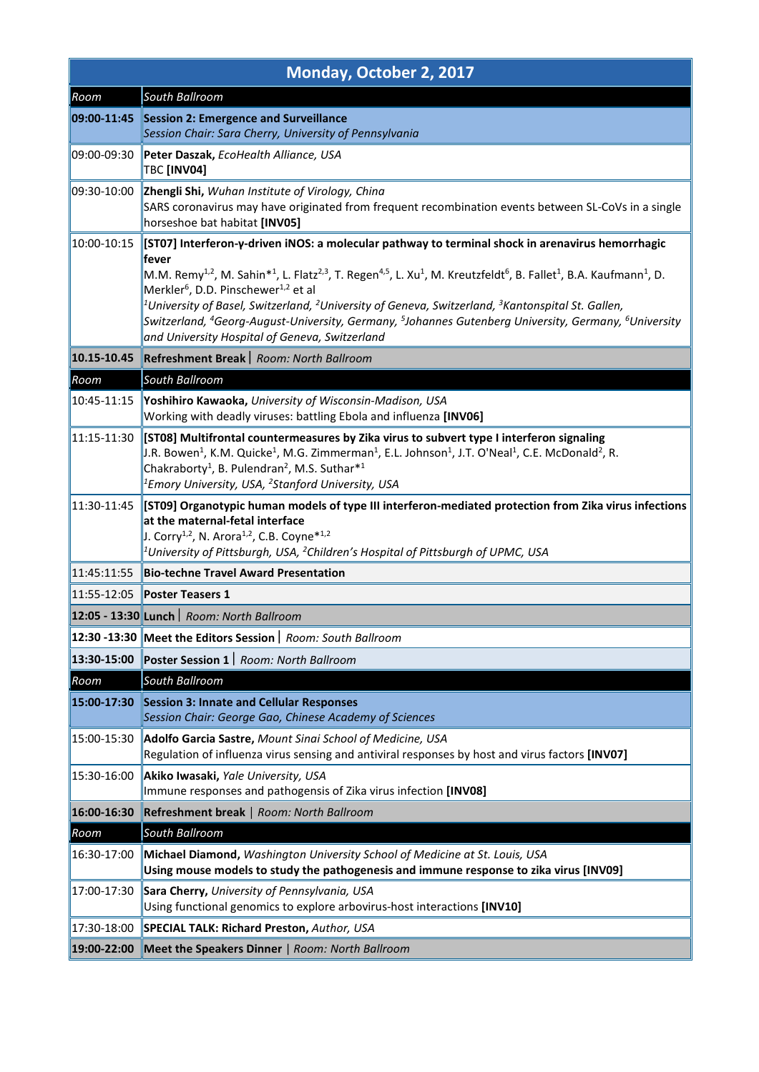| Monday, October 2, 2017 |                                                                                                                                                                                                                                                                                                                                                                                                                                                                                                                                                                                                                                                                                                                |  |
|-------------------------|----------------------------------------------------------------------------------------------------------------------------------------------------------------------------------------------------------------------------------------------------------------------------------------------------------------------------------------------------------------------------------------------------------------------------------------------------------------------------------------------------------------------------------------------------------------------------------------------------------------------------------------------------------------------------------------------------------------|--|
| Room                    | South Ballroom                                                                                                                                                                                                                                                                                                                                                                                                                                                                                                                                                                                                                                                                                                 |  |
| 09:00-11:45             | <b>Session 2: Emergence and Surveillance</b><br>Session Chair: Sara Cherry, University of Pennsylvania                                                                                                                                                                                                                                                                                                                                                                                                                                                                                                                                                                                                         |  |
| 09:00-09:30             | Peter Daszak, EcoHealth Alliance, USA<br>TBC [INV04]                                                                                                                                                                                                                                                                                                                                                                                                                                                                                                                                                                                                                                                           |  |
| 09:30-10:00             | Zhengli Shi, Wuhan Institute of Virology, China<br>SARS coronavirus may have originated from frequent recombination events between SL-CoVs in a single<br>horseshoe bat habitat [INV05]                                                                                                                                                                                                                                                                                                                                                                                                                                                                                                                        |  |
| 10:00-10:15             | [[ST07] Interferon-γ-driven iNOS: a molecular pathway to terminal shock in arenavirus hemorrhagic<br>fever<br>M.M. Remy <sup>1,2</sup> , M. Sahin* <sup>1</sup> , L. Flatz <sup>2,3</sup> , T. Regen <sup>4,5</sup> , L. Xu <sup>1</sup> , M. Kreutzfeldt <sup>6</sup> , B. Fallet <sup>1</sup> , B.A. Kaufmann <sup>1</sup> , D.<br>Merkler <sup>6</sup> , D.D. Pinschewer <sup>1,2</sup> et al<br>$^1$ University of Basel, Switzerland, $^2$ University of Geneva, Switzerland, $^3$ Kantonspital St. Gallen,<br>Switzerland, <sup>4</sup> Georg-August-University, Germany, <sup>5</sup> Johannes Gutenberg University, Germany, <sup>6</sup> University<br>and University Hospital of Geneva, Switzerland |  |
| 10.15-10.45             | Refreshment Break   Room: North Ballroom                                                                                                                                                                                                                                                                                                                                                                                                                                                                                                                                                                                                                                                                       |  |
| Room                    | South Ballroom                                                                                                                                                                                                                                                                                                                                                                                                                                                                                                                                                                                                                                                                                                 |  |
| 10:45-11:15             | Yoshihiro Kawaoka, University of Wisconsin-Madison, USA<br>Working with deadly viruses: battling Ebola and influenza [INV06]                                                                                                                                                                                                                                                                                                                                                                                                                                                                                                                                                                                   |  |
| 11:15-11:30             | [ST08] Multifrontal countermeasures by Zika virus to subvert type I interferon signaling<br>J.R. Bowen <sup>1</sup> , K.M. Quicke <sup>1</sup> , M.G. Zimmerman <sup>1</sup> , E.L. Johnson <sup>1</sup> , J.T. O'Neal <sup>1</sup> , C.E. McDonald <sup>2</sup> , R.<br>Chakraborty <sup>1</sup> , B. Pulendran <sup>2</sup> , M.S. Suthar <sup>*1</sup><br><sup>1</sup> Emory University, USA, <sup>2</sup> Stanford University, USA                                                                                                                                                                                                                                                                         |  |
| 11:30-11:45             | [ST09] Organotypic human models of type III interferon-mediated protection from Zika virus infections<br>at the maternal-fetal interface<br>J. Corry <sup>1,2</sup> , N. Arora <sup>1,2</sup> , C.B. Coyne <sup>*1,2</sup><br><sup>1</sup> University of Pittsburgh, USA, <sup>2</sup> Children's Hospital of Pittsburgh of UPMC, USA                                                                                                                                                                                                                                                                                                                                                                          |  |
| 11:45:11:55             | <b>Bio-techne Travel Award Presentation</b>                                                                                                                                                                                                                                                                                                                                                                                                                                                                                                                                                                                                                                                                    |  |
| 11:55-12:05             | <b>Poster Teasers 1</b>                                                                                                                                                                                                                                                                                                                                                                                                                                                                                                                                                                                                                                                                                        |  |
|                         | 12:05 - 13:30 Lunch   Room: North Ballroom                                                                                                                                                                                                                                                                                                                                                                                                                                                                                                                                                                                                                                                                     |  |
|                         | 12:30 -13:30 Meet the Editors Session   Room: South Ballroom                                                                                                                                                                                                                                                                                                                                                                                                                                                                                                                                                                                                                                                   |  |
| 13:30-15:00             | Poster Session 1   Room: North Ballroom                                                                                                                                                                                                                                                                                                                                                                                                                                                                                                                                                                                                                                                                        |  |
| Room                    | South Ballroom                                                                                                                                                                                                                                                                                                                                                                                                                                                                                                                                                                                                                                                                                                 |  |
| 15:00-17:30             | <b>Session 3: Innate and Cellular Responses</b><br>Session Chair: George Gao, Chinese Academy of Sciences                                                                                                                                                                                                                                                                                                                                                                                                                                                                                                                                                                                                      |  |
| 15:00-15:30             | Adolfo Garcia Sastre, Mount Sinai School of Medicine, USA<br>Regulation of influenza virus sensing and antiviral responses by host and virus factors [INV07]                                                                                                                                                                                                                                                                                                                                                                                                                                                                                                                                                   |  |
| 15:30-16:00             | Akiko Iwasaki, Yale University, USA<br>Immune responses and pathogensis of Zika virus infection [INV08]                                                                                                                                                                                                                                                                                                                                                                                                                                                                                                                                                                                                        |  |
| 16:00-16:30             | Refreshment break   Room: North Ballroom                                                                                                                                                                                                                                                                                                                                                                                                                                                                                                                                                                                                                                                                       |  |
| Room                    | South Ballroom                                                                                                                                                                                                                                                                                                                                                                                                                                                                                                                                                                                                                                                                                                 |  |
| 16:30-17:00             | Michael Diamond, Washington University School of Medicine at St. Louis, USA<br>Using mouse models to study the pathogenesis and immune response to zika virus [INV09]                                                                                                                                                                                                                                                                                                                                                                                                                                                                                                                                          |  |
| 17:00-17:30             | Sara Cherry, University of Pennsylvania, USA<br>Using functional genomics to explore arbovirus-host interactions [INV10]                                                                                                                                                                                                                                                                                                                                                                                                                                                                                                                                                                                       |  |
| 17:30-18:00             | <b>SPECIAL TALK: Richard Preston, Author, USA</b>                                                                                                                                                                                                                                                                                                                                                                                                                                                                                                                                                                                                                                                              |  |
| 19:00-22:00             | Meet the Speakers Dinner   Room: North Ballroom                                                                                                                                                                                                                                                                                                                                                                                                                                                                                                                                                                                                                                                                |  |